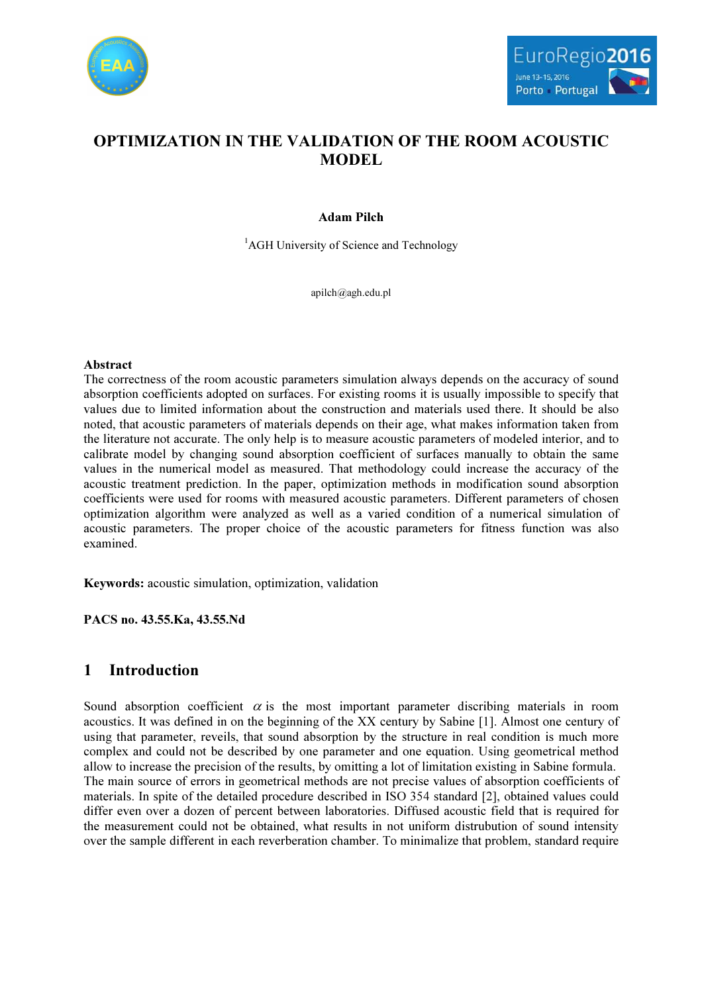



# OPTIMIZATION IN THE VALIDATION OF THE ROOM ACOUSTIC MODEL

## Adam Pilch

<sup>1</sup>AGH University of Science and Technology

apilch@agh.edu.pl

### Abstract

The correctness of the room acoustic parameters simulation always depends on the accuracy of sound absorption coefficients adopted on surfaces. For existing rooms it is usually impossible to specify that values due to limited information about the construction and materials used there. It should be also noted, that acoustic parameters of materials depends on their age, what makes information taken from the literature not accurate. The only help is to measure acoustic parameters of modeled interior, and to calibrate model by changing sound absorption coefficient of surfaces manually to obtain the same values in the numerical model as measured. That methodology could increase the accuracy of the acoustic treatment prediction. In the paper, optimization methods in modification sound absorption coefficients were used for rooms with measured acoustic parameters. Different parameters of chosen optimization algorithm were analyzed as well as a varied condition of a numerical simulation of acoustic parameters. The proper choice of the acoustic parameters for fitness function was also examined.

Keywords: acoustic simulation, optimization, validation

PACS no. 43.55.Ka, 43.55.Nd

# 1 Introduction

Sound absorption coefficient  $\alpha$  is the most important parameter discribing materials in room acoustics. It was defined in on the beginning of the XX century by Sabine [1]. Almost one century of using that parameter, reveils, that sound absorption by the structure in real condition is much more complex and could not be described by one parameter and one equation. Using geometrical method allow to increase the precision of the results, by omitting a lot of limitation existing in Sabine formula. The main source of errors in geometrical methods are not precise values of absorption coefficients of materials. In spite of the detailed procedure described in ISO 354 standard [2], obtained values could differ even over a dozen of percent between laboratories. Diffused acoustic field that is required for the measurement could not be obtained, what results in not uniform distrubution of sound intensity over the sample different in each reverberation chamber. To minimalize that problem, standard require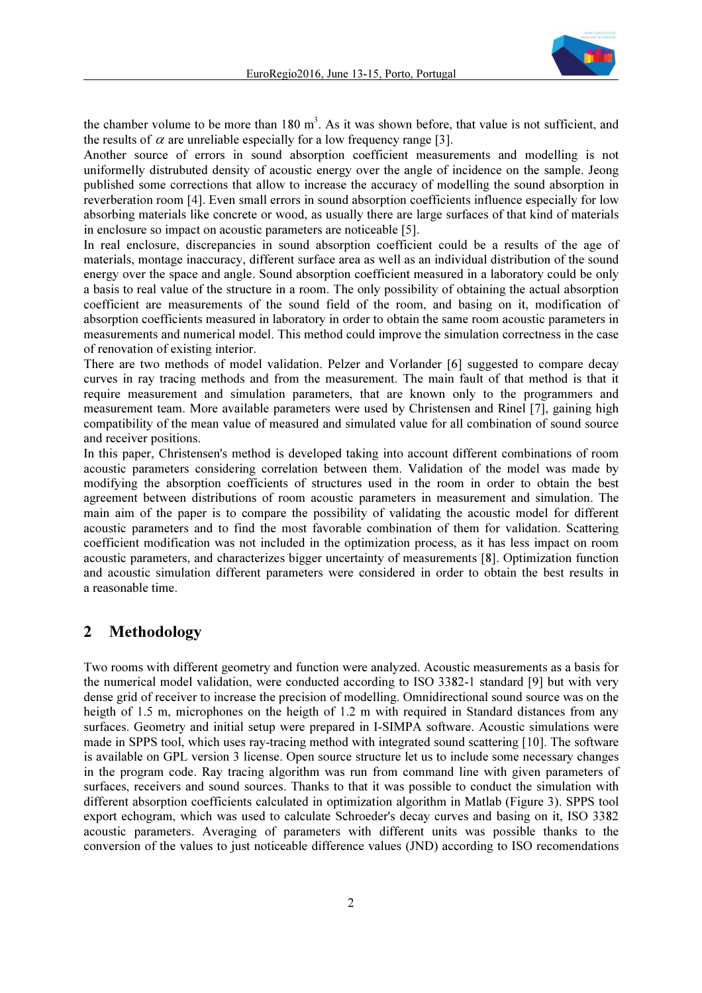

the chamber volume to be more than  $180 \text{ m}^3$ . As it was shown before, that value is not sufficient, and the results of  $\alpha$  are unreliable especially for a low frequency range [3].

Another source of errors in sound absorption coefficient measurements and modelling is not uniformelly distrubuted density of acoustic energy over the angle of incidence on the sample. Jeong published some corrections that allow to increase the accuracy of modelling the sound absorption in reverberation room [4]. Even small errors in sound absorption coefficients influence especially for low absorbing materials like concrete or wood, as usually there are large surfaces of that kind of materials in enclosure so impact on acoustic parameters are noticeable [5].

In real enclosure, discrepancies in sound absorption coefficient could be a results of the age of materials, montage inaccuracy, different surface area as well as an individual distribution of the sound energy over the space and angle. Sound absorption coefficient measured in a laboratory could be only a basis to real value of the structure in a room. The only possibility of obtaining the actual absorption coefficient are measurements of the sound field of the room, and basing on it, modification of absorption coefficients measured in laboratory in order to obtain the same room acoustic parameters in measurements and numerical model. This method could improve the simulation correctness in the case of renovation of existing interior.

There are two methods of model validation. Pelzer and Vorlander [6] suggested to compare decay curves in ray tracing methods and from the measurement. The main fault of that method is that it require measurement and simulation parameters, that are known only to the programmers and measurement team. More available parameters were used by Christensen and Rinel [7], gaining high compatibility of the mean value of measured and simulated value for all combination of sound source and receiver positions.

In this paper, Christensen's method is developed taking into account different combinations of room acoustic parameters considering correlation between them. Validation of the model was made by modifying the absorption coefficients of structures used in the room in order to obtain the best agreement between distributions of room acoustic parameters in measurement and simulation. The main aim of the paper is to compare the possibility of validating the acoustic model for different acoustic parameters and to find the most favorable combination of them for validation. Scattering coefficient modification was not included in the optimization process, as it has less impact on room acoustic parameters, and characterizes bigger uncertainty of measurements [8]. Optimization function and acoustic simulation different parameters were considered in order to obtain the best results in a reasonable time.

## 2 Methodology

Two rooms with different geometry and function were analyzed. Acoustic measurements as a basis for the numerical model validation, were conducted according to ISO 3382-1 standard [9] but with very dense grid of receiver to increase the precision of modelling. Omnidirectional sound source was on the heigth of 1.5 m, microphones on the heigth of 1.2 m with required in Standard distances from any surfaces. Geometry and initial setup were prepared in I-SIMPA software. Acoustic simulations were made in SPPS tool, which uses ray-tracing method with integrated sound scattering [10]. The software is available on GPL version 3 license. Open source structure let us to include some necessary changes in the program code. Ray tracing algorithm was run from command line with given parameters of surfaces, receivers and sound sources. Thanks to that it was possible to conduct the simulation with different absorption coefficients calculated in optimization algorithm in Matlab (Figure 3). SPPS tool export echogram, which was used to calculate Schroeder's decay curves and basing on it, ISO 3382 acoustic parameters. Averaging of parameters with different units was possible thanks to the conversion of the values to just noticeable difference values (JND) according to ISO recomendations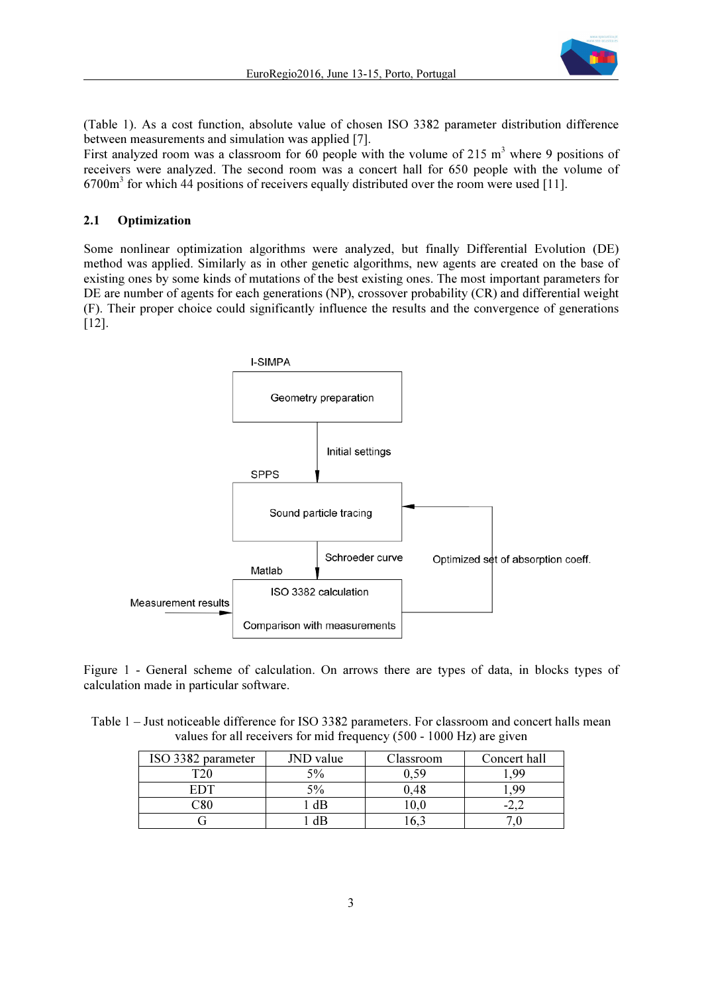

(Table 1). As a cost function, absolute value of chosen ISO 3382 parameter distribution difference between measurements and simulation was applied [7].

First analyzed room was a classroom for  $60$  people with the volume of 215 m<sup>3</sup> where 9 positions of receivers were analyzed. The second room was a concert hall for 650 people with the volume of  $6700m<sup>3</sup>$  for which 44 positions of receivers equally distributed over the room were used [11].

## 2.1 Optimization

Some nonlinear optimization algorithms were analyzed, but finally Differential Evolution (DE) method was applied. Similarly as in other genetic algorithms, new agents are created on the base of existing ones by some kinds of mutations of the best existing ones. The most important parameters for DE are number of agents for each generations (NP), crossover probability (CR) and differential weight (F). Their proper choice could significantly influence the results and the convergence of generations [12].



Figure 1 - General scheme of calculation. On arrows there are types of data, in blocks types of calculation made in particular software.

Table 1 – Just noticeable difference for ISO 3382 parameters. For classroom and concert halls mean values for all receivers for mid frequency (500 - 1000 Hz) are given

| ISO 3382 parameter | JND value | Classroom | Concert hall |
|--------------------|-----------|-----------|--------------|
| TO 1               | 5%        |           | QC           |
| FDT                | 5%        | \.48      | OΟ           |
|                    | dB        | LV.U      |              |
|                    |           | v.        |              |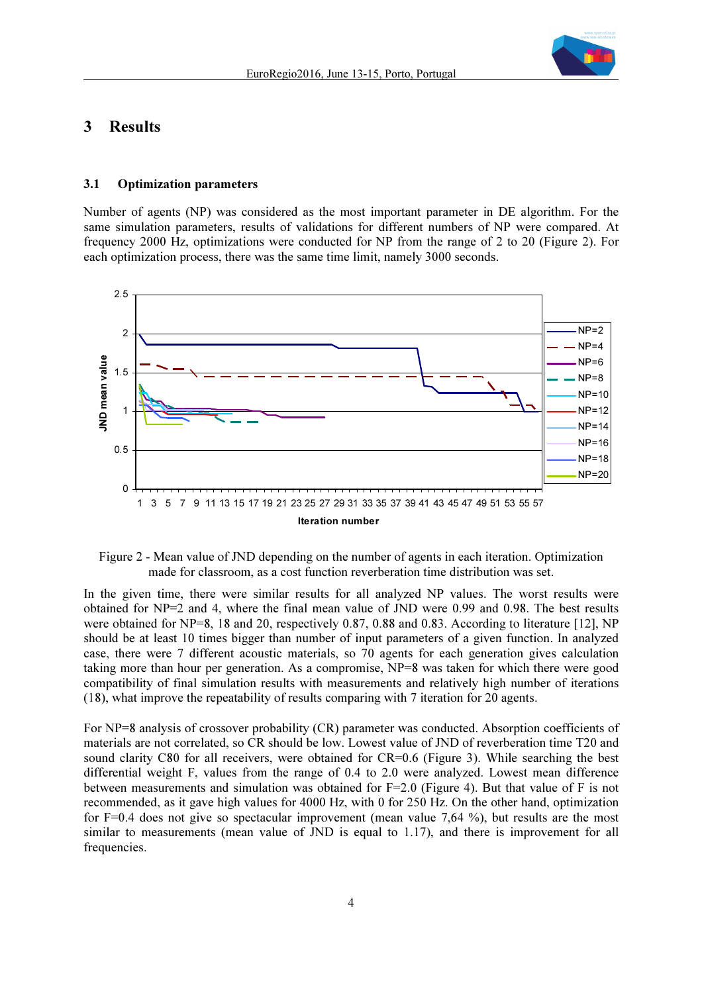

## 3 Results

#### 3.1 Optimization parameters

Number of agents (NP) was considered as the most important parameter in DE algorithm. For the same simulation parameters, results of validations for different numbers of NP were compared. At frequency 2000 Hz, optimizations were conducted for NP from the range of 2 to 20 (Figure 2). For each optimization process, there was the same time limit, namely 3000 seconds.





In the given time, there were similar results for all analyzed NP values. The worst results were obtained for NP=2 and 4, where the final mean value of JND were 0.99 and 0.98. The best results were obtained for NP=8, 18 and 20, respectively 0.87, 0.88 and 0.83. According to literature [12], NP should be at least 10 times bigger than number of input parameters of a given function. In analyzed case, there were 7 different acoustic materials, so 70 agents for each generation gives calculation taking more than hour per generation. As a compromise, NP=8 was taken for which there were good compatibility of final simulation results with measurements and relatively high number of iterations (18), what improve the repeatability of results comparing with 7 iteration for 20 agents.

For NP=8 analysis of crossover probability (CR) parameter was conducted. Absorption coefficients of materials are not correlated, so CR should be low. Lowest value of JND of reverberation time T20 and sound clarity C80 for all receivers, were obtained for CR=0.6 (Figure 3). While searching the best differential weight F, values from the range of 0.4 to 2.0 were analyzed. Lowest mean difference between measurements and simulation was obtained for  $F=2.0$  (Figure 4). But that value of F is not recommended, as it gave high values for 4000 Hz, with 0 for 250 Hz. On the other hand, optimization for F=0.4 does not give so spectacular improvement (mean value 7,64 %), but results are the most similar to measurements (mean value of JND is equal to 1.17), and there is improvement for all frequencies.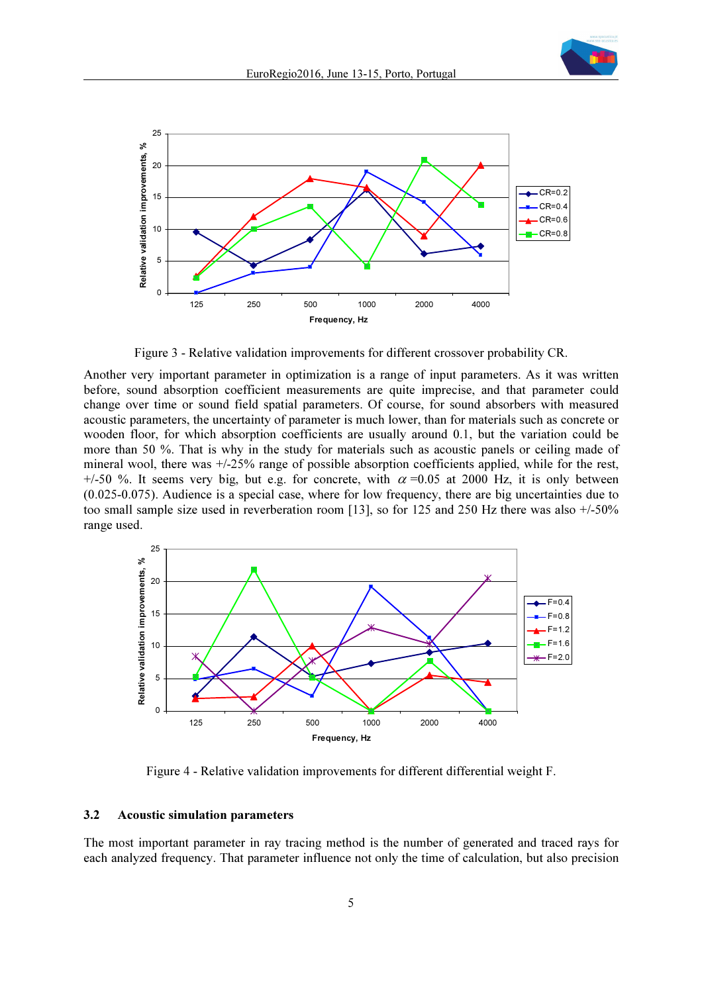



Figure 3 - Relative validation improvements for different crossover probability CR.

Another very important parameter in optimization is a range of input parameters. As it was written before, sound absorption coefficient measurements are quite imprecise, and that parameter could change over time or sound field spatial parameters. Of course, for sound absorbers with measured acoustic parameters, the uncertainty of parameter is much lower, than for materials such as concrete or wooden floor, for which absorption coefficients are usually around 0.1, but the variation could be more than 50 %. That is why in the study for materials such as acoustic panels or ceiling made of mineral wool, there was +/-25% range of possible absorption coefficients applied, while for the rest, +/-50 %. It seems very big, but e.g. for concrete, with  $\alpha$  =0.05 at 2000 Hz, it is only between (0.025-0.075). Audience is a special case, where for low frequency, there are big uncertainties due to too small sample size used in reverberation room [13], so for 125 and 250 Hz there was also +/-50% range used.



Figure 4 - Relative validation improvements for different differential weight F.

#### 3.2 Acoustic simulation parameters

The most important parameter in ray tracing method is the number of generated and traced rays for each analyzed frequency. That parameter influence not only the time of calculation, but also precision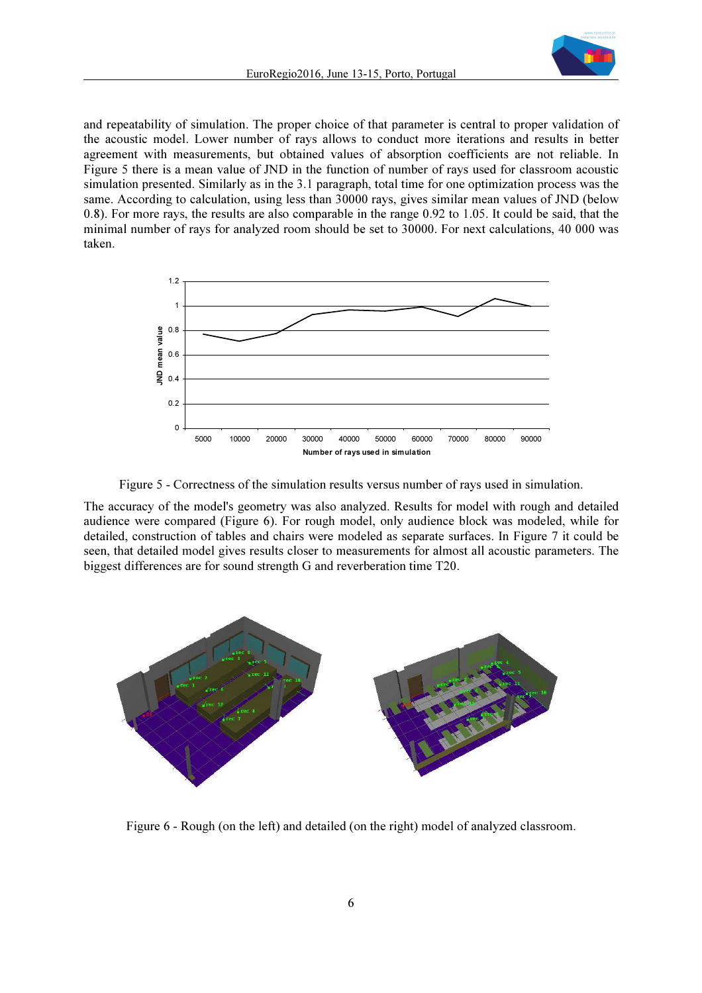and repeatability of simulation. The proper choice of that parameter is central to proper validation of the acoustic model. Lower number of rays allows to conduct more iterations and results in better agreement with measurements, but obtained values of absorption coefficients are not reliable. In Figure 5 there is a mean value of JND in the function of number of rays used for classroom acoustic simulation presented. Similarly as in the 3.1 paragraph, total time for one optimization process was the same. According to calculation, using less than 30000 rays, gives similar mean values of JND (below 0.8). For more rays, the results are also comparable in the range 0.92 to 1.05. It could be said, that the minimal number of rays for analyzed room should be set to 30000. For next calculations, 40 000 was taken.





The accuracy of the model's geometry was also analyzed. Results for model with rough and detailed audience were compared (Figure 6). For rough model, only audience block was modeled, while for detailed, construction of tables and chairs were modeled as separate surfaces. In Figure 7 it could be seen, that detailed model gives results closer to measurements for almost all acoustic parameters. The biggest differences are for sound strength G and reverberation time T20.



Figure 6 - Rough (on the left) and detailed (on the right) model of analyzed classroom.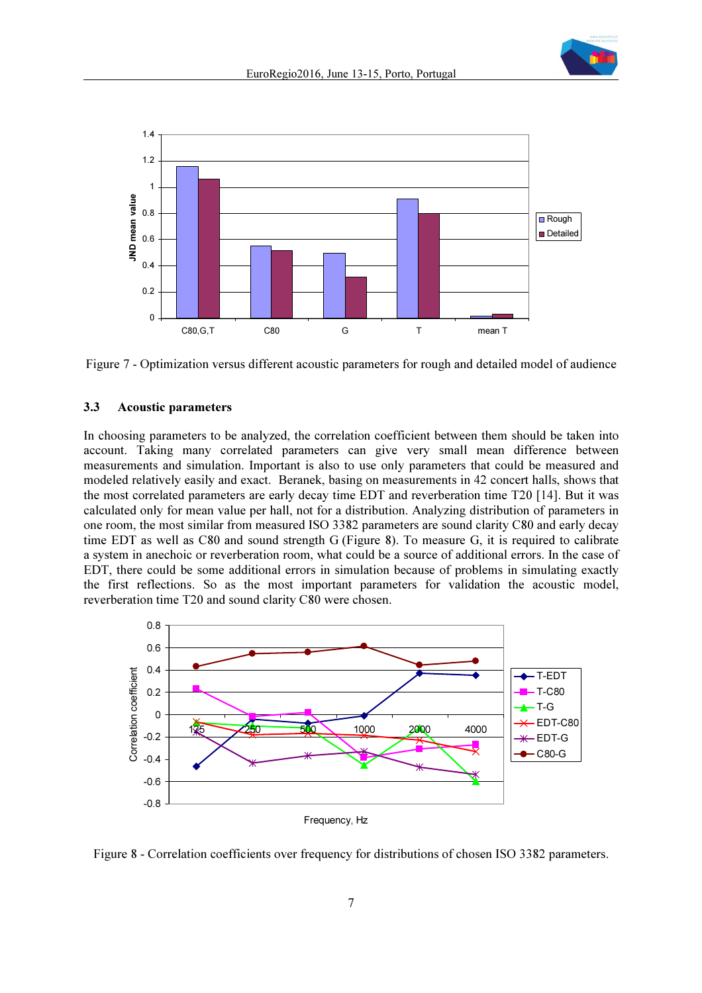



Figure 7 - Optimization versus different acoustic parameters for rough and detailed model of audience

### 3.3 Acoustic parameters

In choosing parameters to be analyzed, the correlation coefficient between them should be taken into account. Taking many correlated parameters can give very small mean difference between measurements and simulation. Important is also to use only parameters that could be measured and modeled relatively easily and exact. Beranek, basing on measurements in 42 concert halls, shows that the most correlated parameters are early decay time EDT and reverberation time T20 [14]. But it was calculated only for mean value per hall, not for a distribution. Analyzing distribution of parameters in one room, the most similar from measured ISO 3382 parameters are sound clarity C80 and early decay time EDT as well as C80 and sound strength G (Figure 8). To measure G, it is required to calibrate a system in anechoic or reverberation room, what could be a source of additional errors. In the case of EDT, there could be some additional errors in simulation because of problems in simulating exactly the first reflections. So as the most important parameters for validation the acoustic model, reverberation time T20 and sound clarity C80 were chosen.



Figure 8 - Correlation coefficients over frequency for distributions of chosen ISO 3382 parameters.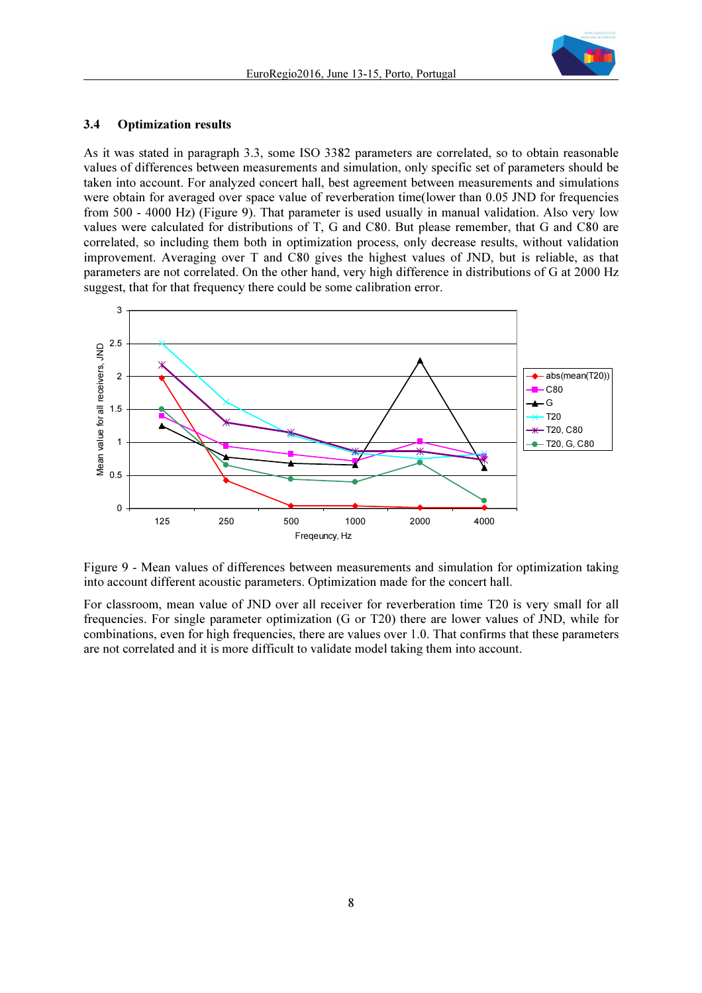

#### 3.4 Optimization results

As it was stated in paragraph 3.3, some ISO 3382 parameters are correlated, so to obtain reasonable values of differences between measurements and simulation, only specific set of parameters should be taken into account. For analyzed concert hall, best agreement between measurements and simulations were obtain for averaged over space value of reverberation time(lower than 0.05 JND for frequencies from 500 - 4000 Hz) (Figure 9). That parameter is used usually in manual validation. Also very low values were calculated for distributions of T, G and C80. But please remember, that G and C80 are correlated, so including them both in optimization process, only decrease results, without validation improvement. Averaging over T and C80 gives the highest values of JND, but is reliable, as that parameters are not correlated. On the other hand, very high difference in distributions of G at 2000 Hz suggest, that for that frequency there could be some calibration error.



Figure 9 - Mean values of differences between measurements and simulation for optimization taking into account different acoustic parameters. Optimization made for the concert hall.

For classroom, mean value of JND over all receiver for reverberation time T20 is very small for all frequencies. For single parameter optimization (G or T20) there are lower values of JND, while for combinations, even for high frequencies, there are values over 1.0. That confirms that these parameters are not correlated and it is more difficult to validate model taking them into account.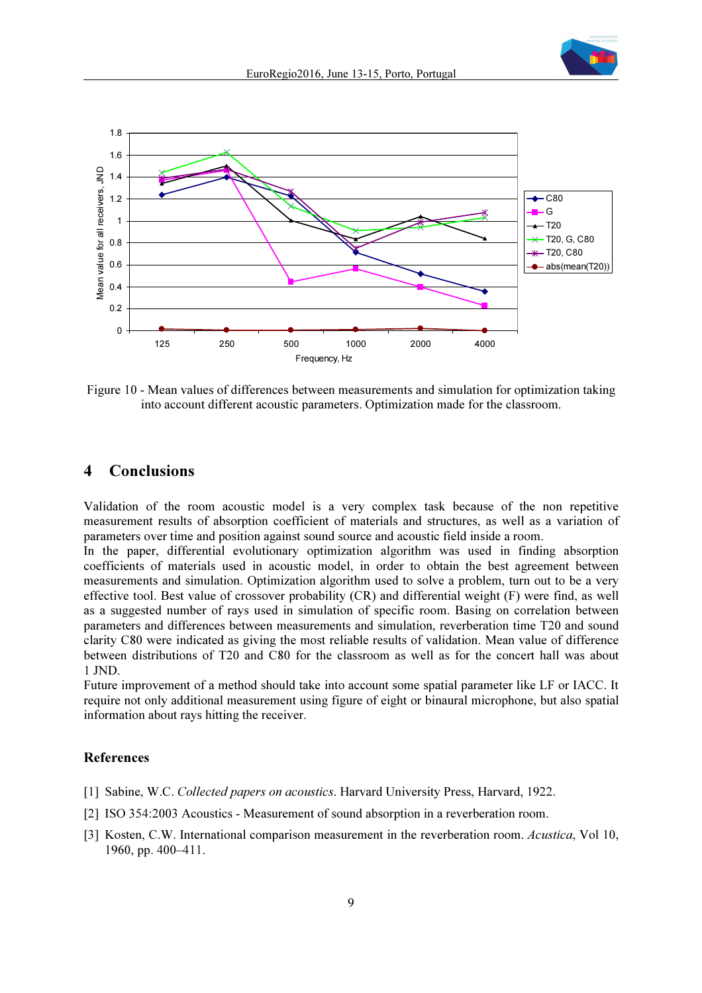



Figure 10 - Mean values of differences between measurements and simulation for optimization taking into account different acoustic parameters. Optimization made for the classroom.

# 4 Conclusions

Validation of the room acoustic model is a very complex task because of the non repetitive measurement results of absorption coefficient of materials and structures, as well as a variation of parameters over time and position against sound source and acoustic field inside a room.

In the paper, differential evolutionary optimization algorithm was used in finding absorption coefficients of materials used in acoustic model, in order to obtain the best agreement between measurements and simulation. Optimization algorithm used to solve a problem, turn out to be a very effective tool. Best value of crossover probability (CR) and differential weight (F) were find, as well as a suggested number of rays used in simulation of specific room. Basing on correlation between parameters and differences between measurements and simulation, reverberation time T20 and sound clarity C80 were indicated as giving the most reliable results of validation. Mean value of difference between distributions of T20 and C80 for the classroom as well as for the concert hall was about 1 JND.

Future improvement of a method should take into account some spatial parameter like LF or IACC. It require not only additional measurement using figure of eight or binaural microphone, but also spatial information about rays hitting the receiver.

#### References

- [1] Sabine, W.C. Collected papers on acoustics. Harvard University Press, Harvard, 1922.
- [2] ISO 354:2003 Acoustics Measurement of sound absorption in a reverberation room.
- [3] Kosten, C.W. International comparison measurement in the reverberation room. Acustica, Vol 10, 1960, pp. 400–411.